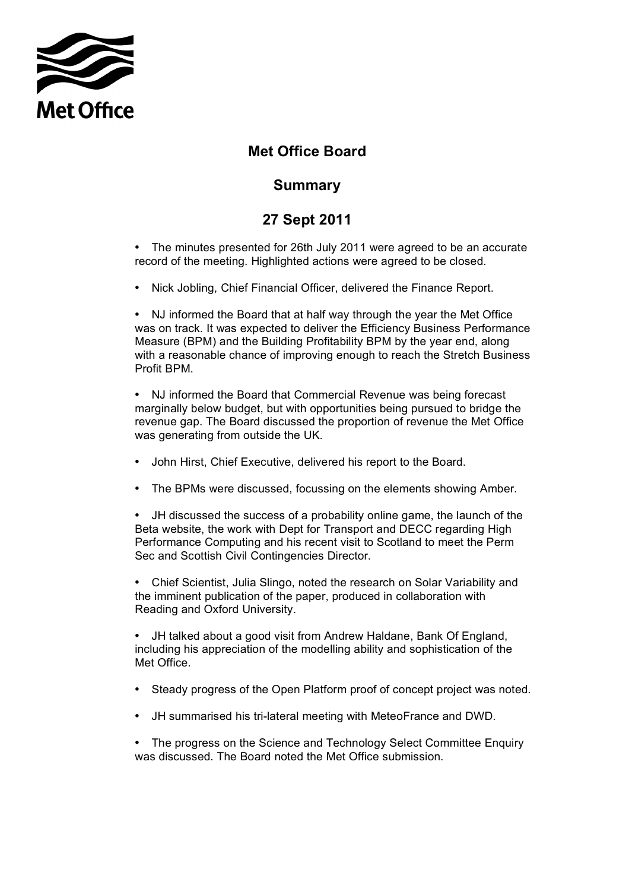

## **Met Office Board**

## **Summary**

## **27 Sept 2011**

 • The minutes presented for 26th July 2011 were agreed to be an accurate record of the meeting. Highlighted actions were agreed to be closed.

• Nick Jobling, Chief Financial Officer, delivered the Finance Report.

 • NJ informed the Board that at half way through the year the Met Office Measure (BPM) and the Building Profitability BPM by the year end, along with a reasonable chance of improving enough to reach the Stretch Business was on track. It was expected to deliver the Efficiency Business Performance Profit BPM.

 • NJ informed the Board that Commercial Revenue was being forecast marginally below budget, but with opportunities being pursued to bridge the revenue gap. The Board discussed the proportion of revenue the Met Office was generating from outside the UK.

- John Hirst, Chief Executive, delivered his report to the Board.
- The BPMs were discussed, focussing on the elements showing Amber.

 • JH discussed the success of a probability online game, the launch of the Beta website, the work with Dept for Transport and DECC regarding High Performance Computing and his recent visit to Scotland to meet the Perm Sec and Scottish Civil Contingencies Director.

 • Chief Scientist, Julia Slingo, noted the research on Solar Variability and the imminent publication of the paper, produced in collaboration with Reading and Oxford University.

 • JH talked about a good visit from Andrew Haldane, Bank Of England, including his appreciation of the modelling ability and sophistication of the Met Office.

- Steady progress of the Open Platform proof of concept project was noted.
- JH summarised his tri-lateral meeting with MeteoFrance and DWD.

 • The progress on the Science and Technology Select Committee Enquiry was discussed. The Board noted the Met Office submission.